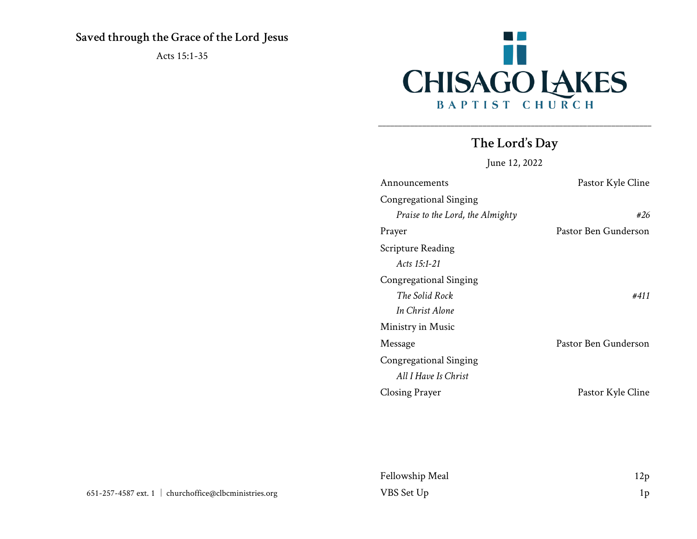## **Saved through the Grace of the Lord Jesus**

Acts 15:1-35



# **The Lord's Day**

\_\_\_\_\_\_\_\_\_\_\_\_\_\_\_\_\_\_\_\_\_\_\_\_\_\_\_\_\_\_\_\_\_\_\_\_\_\_\_\_\_\_\_\_\_\_\_\_\_\_\_\_\_\_\_\_\_\_\_\_\_\_\_\_\_\_\_\_

June 12, 2022

| Announcements                    | Pastor Kyle Cline    |
|----------------------------------|----------------------|
| Congregational Singing           |                      |
| Praise to the Lord, the Almighty | #26                  |
| Prayer                           | Pastor Ben Gunderson |
| Scripture Reading                |                      |
| Acts $15:1-21$                   |                      |
| Congregational Singing           |                      |
| The Solid Rock                   | #411                 |
| In Christ Alone                  |                      |
| Ministry in Music                |                      |
| Message                          | Pastor Ben Gunderson |
| Congregational Singing           |                      |
| All I Have Is Christ             |                      |
| Closing Prayer                   | Pastor Kyle Cline    |

| Fellowship Meal | 12p |
|-----------------|-----|
| VBS Set Up      | 1p  |